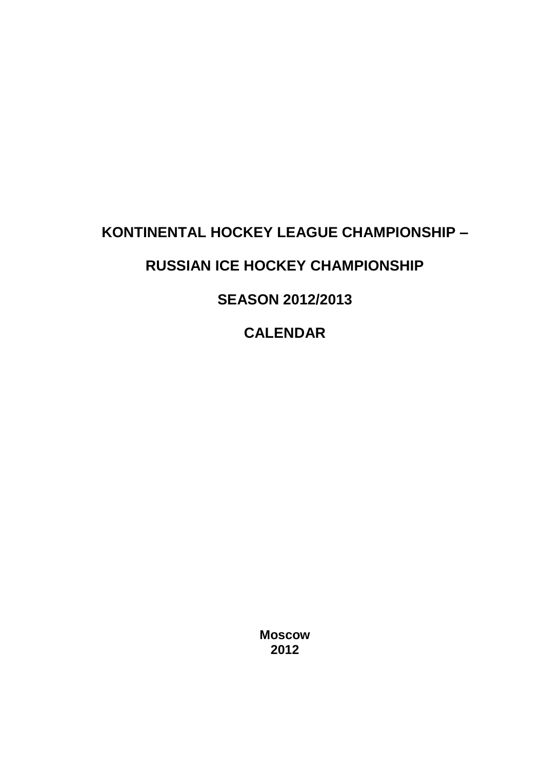# **KONTINENTAL HOCKEY LEAGUE CHAMPIONSHIP –**

## **RUSSIAN ICE HOCKEY CHAMPIONSHIP**

## **SEASON 2012/2013**

# **CALENDAR**

**Moscow 2012**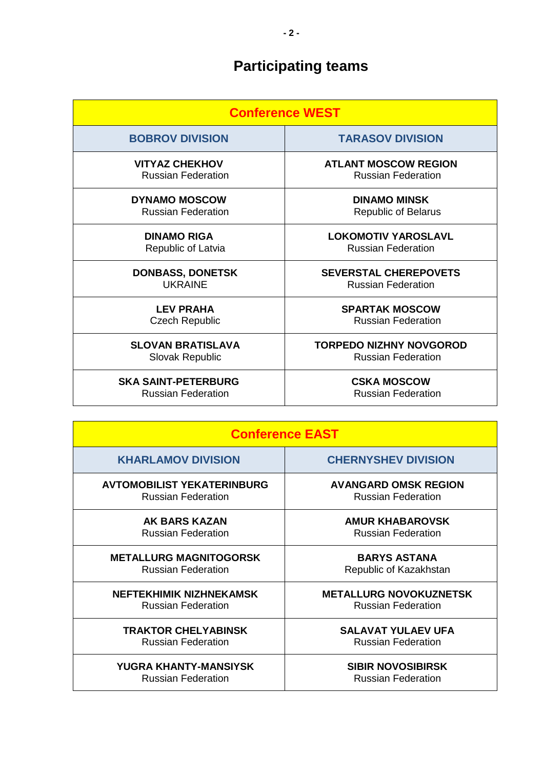# **Participating teams**

| <b>Conference WEST</b>     |                                |  |
|----------------------------|--------------------------------|--|
| <b>BOBROV DIVISION</b>     | <b>TARASOV DIVISION</b>        |  |
| <b>VITYAZ CHEKHOV</b>      | <b>ATLANT MOSCOW REGION</b>    |  |
| <b>Russian Federation</b>  | <b>Russian Federation</b>      |  |
| <b>DYNAMO MOSCOW</b>       | <b>DINAMO MINSK</b>            |  |
| <b>Russian Federation</b>  | <b>Republic of Belarus</b>     |  |
| <b>DINAMO RIGA</b>         | <b>LOKOMOTIV YAROSLAVL</b>     |  |
| Republic of Latvia         | <b>Russian Federation</b>      |  |
| <b>DONBASS, DONETSK</b>    | <b>SEVERSTAL CHEREPOVETS</b>   |  |
| <b>UKRAINE</b>             | <b>Russian Federation</b>      |  |
| <b>LEV PRAHA</b>           | <b>SPARTAK MOSCOW</b>          |  |
| <b>Czech Republic</b>      | <b>Russian Federation</b>      |  |
| <b>SLOVAN BRATISLAVA</b>   | <b>TORPEDO NIZHNY NOVGOROD</b> |  |
| Slovak Republic            | <b>Russian Federation</b>      |  |
| <b>SKA SAINT-PETERBURG</b> | <b>CSKA MOSCOW</b>             |  |
| <b>Russian Federation</b>  | <b>Russian Federation</b>      |  |

| <b>Conference EAST</b>            |                               |  |
|-----------------------------------|-------------------------------|--|
| <b>KHARLAMOV DIVISION</b>         | <b>CHERNYSHEV DIVISION</b>    |  |
| <b>AVTOMOBILIST YEKATERINBURG</b> | <b>AVANGARD OMSK REGION</b>   |  |
| <b>Russian Federation</b>         | <b>Russian Federation</b>     |  |
| AK BARS KAZAN                     | <b>AMUR KHABAROVSK</b>        |  |
| <b>Russian Federation</b>         | <b>Russian Federation</b>     |  |
| <b>METALLURG MAGNITOGORSK</b>     | <b>BARYS ASTANA</b>           |  |
| <b>Russian Federation</b>         | Republic of Kazakhstan        |  |
| NEFTEKHIMIK NIZHNEKAMSK           | <b>METALLURG NOVOKUZNETSK</b> |  |
| <b>Russian Federation</b>         | <b>Russian Federation</b>     |  |
| <b>TRAKTOR CHELYABINSK</b>        | <b>SALAVAT YULAEV UFA</b>     |  |
| <b>Russian Federation</b>         | <b>Russian Federation</b>     |  |
| YUGRA KHANTY-MANSIYSK             | <b>SIBIR NOVOSIBIRSK</b>      |  |
| <b>Russian Federation</b>         | <b>Russian Federation</b>     |  |

 $\overline{\phantom{a}}$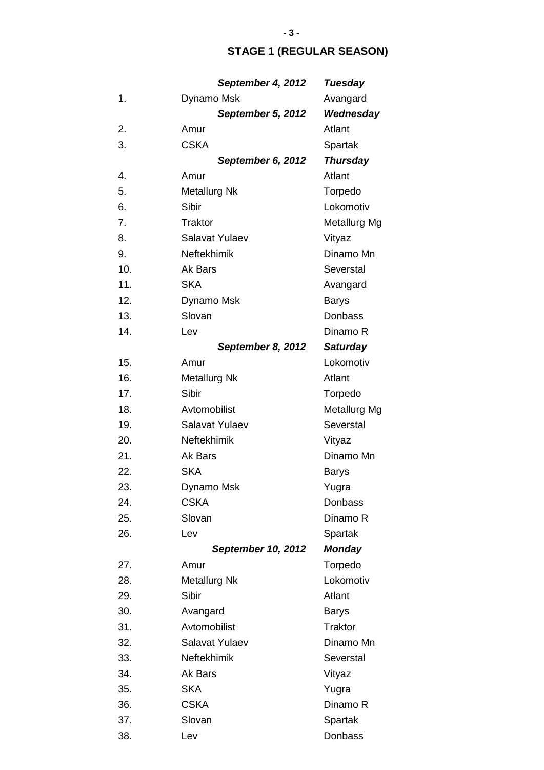## **STAGE 1 (REGULAR SEASON)**

|     | September 4, 2012         | <b>Tuesday</b>  |
|-----|---------------------------|-----------------|
| 1.  | Dynamo Msk                | Avangard        |
|     | September 5, 2012         | Wednesday       |
| 2.  | Amur                      | Atlant          |
| 3.  | <b>CSKA</b>               | Spartak         |
|     | September 6, 2012         | <b>Thursday</b> |
| 4.  | Amur                      | Atlant          |
| 5.  | <b>Metallurg Nk</b>       | Torpedo         |
| 6.  | Sibir                     | Lokomotiv       |
| 7.  | <b>Traktor</b>            | Metallurg Mg    |
| 8.  | Salavat Yulaev            | Vityaz          |
| 9.  | Neftekhimik               | Dinamo Mn       |
| 10. | Ak Bars                   | Severstal       |
| 11. | <b>SKA</b>                | Avangard        |
| 12. | Dynamo Msk                | <b>Barys</b>    |
| 13. | Slovan                    | Donbass         |
| 14. | Lev                       | Dinamo R        |
|     | September 8, 2012         | <b>Saturday</b> |
| 15. | Amur                      | Lokomotiv       |
| 16. | <b>Metallurg Nk</b>       | Atlant          |
| 17. | Sibir                     | Torpedo         |
| 18. | Avtomobilist              | Metallurg Mg    |
| 19. | Salavat Yulaev            | Severstal       |
| 20. | Neftekhimik               | Vityaz          |
| 21. | Ak Bars                   | Dinamo Mn       |
| 22. | <b>SKA</b>                | Barys           |
| 23. | Dynamo Msk                | Yugra           |
| 24. | <b>CSKA</b>               | Donbass         |
| 25. | Slovan                    | Dinamo R        |
| 26. | Lev                       | Spartak         |
|     | <b>September 10, 2012</b> | <b>Monday</b>   |
| 27. | Amur                      | Torpedo         |
| 28. | Metallurg Nk              | Lokomotiv       |
| 29. | Sibir                     | Atlant          |
| 30. | Avangard                  | <b>Barys</b>    |
| 31. | Avtomobilist              | <b>Traktor</b>  |
| 32. | Salavat Yulaev            | Dinamo Mn       |
| 33. | Neftekhimik               | Severstal       |
| 34. | Ak Bars                   | Vityaz          |
| 35. | <b>SKA</b>                | Yugra           |
| 36. | <b>CSKA</b>               | Dinamo R        |
| 37. | Slovan                    | Spartak         |
| 38. | Lev                       | Donbass         |

### **- 3 -**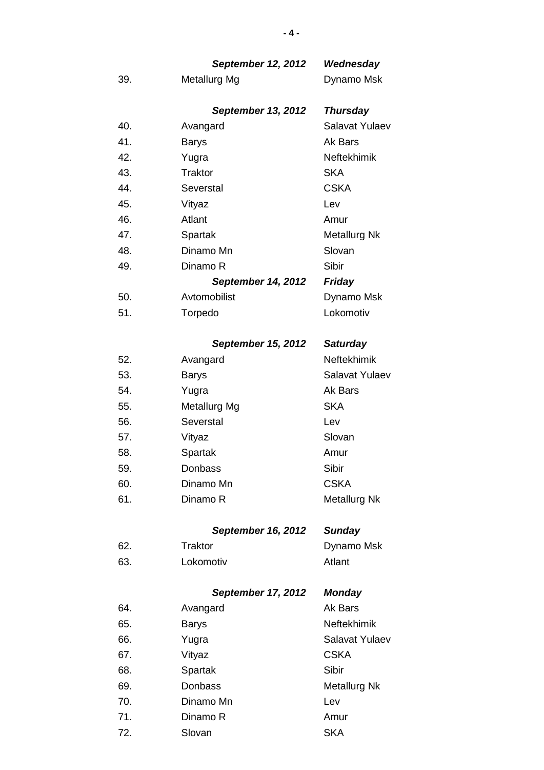## *September 12, 2012 Wednesday*

39. Metallurg Mg Dynamo Msk

## *September 13, 2012 Thursday* 40. Avangard Salavat Yulaev 41. Barys Barys Ak Bars 42. Yugra Yugra Neftekhimik 43. Traktor SKA 44. Severstal CSKA 45. Vityaz Lev 46. Atlant Amur 47. Spartak Metallurg Nk 48. Dinamo Mn Slovan 49. Dinamo R Sibir *September 14, 2012 Friday* 50. Avtomobilist Dynamo Msk 51. Torpedo Lokomotiv

### *September 15, 2012 Saturday*

| 52. | Avangard     | Neftekhimik         |
|-----|--------------|---------------------|
| 53. | <b>Barys</b> | Salavat Yulaev      |
| 54. | Yugra        | Ak Bars             |
| 55. | Metallurg Mg | <b>SKA</b>          |
| 56. | Severstal    | Lev                 |
| 57. | Vityaz       | Slovan              |
| 58. | Spartak      | Amur                |
| 59. | Donbass      | Sibir               |
| 60. | Dinamo Mn    | <b>CSKA</b>         |
| 61. | Dinamo R     | <b>Metallurg Nk</b> |
|     |              |                     |

#### *September 16, 2012 Sunday*

| 62. | Traktor   | Dynamo Msk |
|-----|-----------|------------|
| 63. | Lokomotiv | Atlant     |

### *September 17, 2012 Monday*

| 64. | Avangard     | Ak Bars            |
|-----|--------------|--------------------|
| 65. | <b>Barys</b> | <b>Neftekhimik</b> |
| 66. | Yugra        | Salavat Yulaev     |
| 67. | Vityaz       | <b>CSKA</b>        |
| 68. | Spartak      | Sibir              |
| 69. | Donbass      | Metallurg Nk       |
| 70. | Dinamo Mn    | Lev                |
| 71. | Dinamo R     | Amur               |
| 72. | Slovan       | <b>SKA</b>         |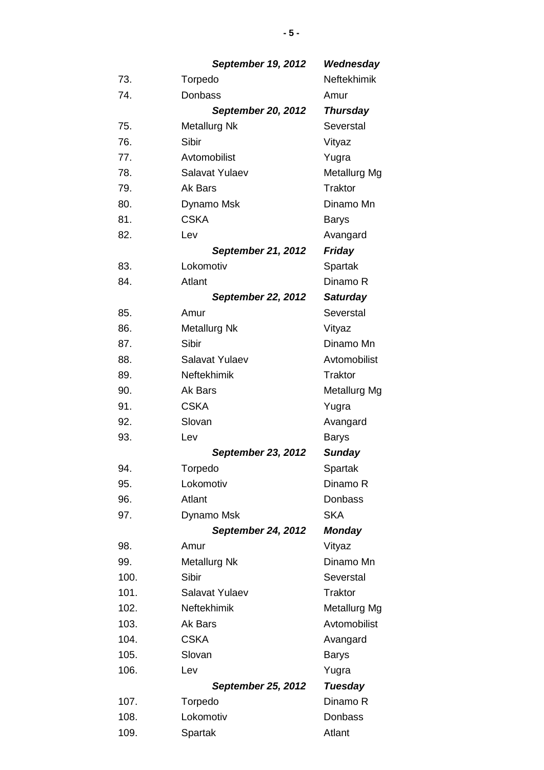*September 19, 2012 Wednesday* 73. Torpedo Neftekhimik 74. Donbass **Amur** *September 20, 2012 Thursday* 75. Metallurg Nk Severstal 76. Sibir Sibir Vityaz 77. Avtomobilist Yugra 78. Salavat Yulaev Metallurg Mg 79. Ak Bars Traktor 80. Dynamo Msk Dinamo Mn 81. CSKA Barvs 82. Lev Lev Avangard *September 21, 2012 Friday* 83. Lokomotiv Spartak 84. Atlant Dinamo R *September 22, 2012 Saturday* 85. Amur Severstal 86. Metallurg Nk **Vityaz** 87. Sibir **Sibir** Dinamo Mn 88. Salavat Yulaev Avtomobilist 89. Neftekhimik Traktor 90. Ak Bars Metallurg Mg 91. CSKA Yugra 92. Slovan Avangard 93. Lev Barys *September 23, 2012 Sunday* 94. Torpedo Spartak 95. Lokomotiv Dinamo R 96. Atlant Donbass 97. Dynamo Msk SKA *September 24, 2012 Monday* 98. Amur Vityaz 99. Metallurg Nk Dinamo Mn 100. Sibir Severstal 101. Salavat Yulaev Traktor 102. Neftekhimik Metallurg Mg 103. Ak Bars Avtomobilist 104. CSKA Avangard 105. Slovan Barys 106. Lev Nugra *September 25, 2012 Tuesday*

**- 5 -**

108. Lokomotiv Donbass

107. Torpedo Dinamo R

109. Spartak **Atlant**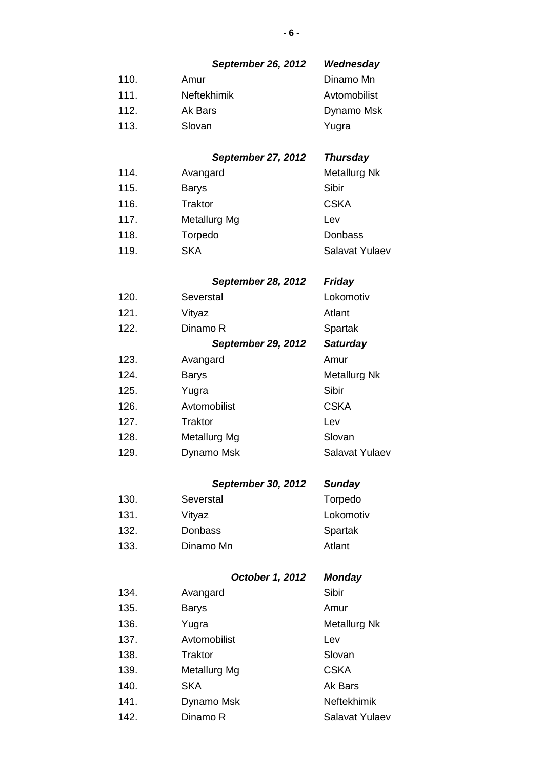|      | <b>September 26, 2012</b> | Wednesday             |
|------|---------------------------|-----------------------|
| 110. | Amur                      | Dinamo Mn             |
| 111. | Neftekhimik               | Avtomobilist          |
| 112. | Ak Bars                   | Dynamo Msk            |
| 113. | Slovan                    | Yugra                 |
|      | <b>September 27, 2012</b> | <b>Thursday</b>       |
| 114. | Avangard                  | Metallurg Nk          |
| 115. | <b>Barys</b>              | Sibir                 |
| 116. | <b>Traktor</b>            | <b>CSKA</b>           |
| 117. | Metallurg Mg              | Lev                   |
| 118. | Torpedo                   | Donbass               |
| 119. | <b>SKA</b>                | <b>Salavat Yulaev</b> |
|      | <b>September 28, 2012</b> | <b>Friday</b>         |
| 120. | Severstal                 | Lokomotiv             |
| 121. | Vityaz                    | Atlant                |
| 122. | Dinamo R                  | Spartak               |
|      | <b>September 29, 2012</b> | <b>Saturday</b>       |
| 123. | Avangard                  | Amur                  |
| 124. | <b>Barys</b>              | Metallurg Nk          |
| 125. | Yugra                     | Sibir                 |
| 126. | Avtomobilist              | <b>CSKA</b>           |
| 127. | Traktor                   | Lev                   |
| 128. | Metallurg Mg              | Slovan                |
| 129. | Dynamo Msk                | <b>Salavat Yulaev</b> |
|      | <b>September 30, 2012</b> | <b>Sunday</b>         |
| 130. | Severstal                 | Torpedo               |
| 131. | Vityaz                    | Lokomotiv             |
| 132. | Donbass                   | Spartak               |
| 133. | Dinamo Mn                 | Atlant                |
|      | October 1, 2012           | <b>Monday</b>         |
| 134. | Avangard                  | Sibir                 |
| 135. | <b>Barys</b>              | Amur                  |
| 136. | Yugra                     | Metallurg Nk          |
| 137. | Avtomobilist              | Lev                   |
| 138. | Traktor                   | Slovan                |
| 139. | Metallurg Mg              | <b>CSKA</b>           |
| 140. | <b>SKA</b>                | Ak Bars               |
| 141. | Dynamo Msk                | <b>Neftekhimik</b>    |
| 142. | Dinamo R                  | Salavat Yulaev        |

## **- 6 -**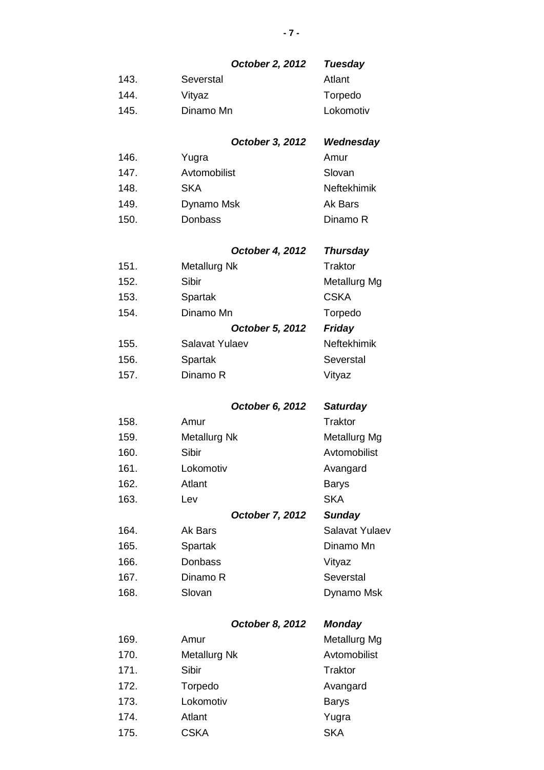## *October 2, 2012 Tuesday*

| 143. | Severstal | Atlant    |
|------|-----------|-----------|
| 144. | Vityaz    | Torpedo   |
| 145. | Dinamo Mn | Lokomotiv |

#### *October 3, 2012 Wednesday*

| Yugra        | Amur        |
|--------------|-------------|
| Avtomobilist | Slovan      |
| SKA          | Neftekhimik |
| Dynamo Msk   | Ak Bars     |
| Donbass      | Dinamo R    |
|              |             |

## *October 4, 2012 Thursday*

| 151. | Metallurg Nk    | Traktor      |
|------|-----------------|--------------|
| 152. | Sibir           | Metallurg Mg |
| 153. | Spartak         | <b>CSKA</b>  |
| 154. | Dinamo Mn       | Torpedo      |
|      | October 5, 2012 | Friday       |
| 155. | Salavat Yulaev  | Neftekhimik  |
| 156. | Spartak         | Severstal    |
| 157. | Dinamo R        | Vityaz       |

## *October 6, 2012 Saturday*

| 158. | Amur                   | <b>Traktor</b> |
|------|------------------------|----------------|
| 159. | <b>Metallurg Nk</b>    | Metallurg Mg   |
| 160. | Sibir                  | Avtomobilist   |
| 161. | Lokomotiv              | Avangard       |
| 162. | Atlant                 | <b>Barys</b>   |
| 163. | Lev                    | <b>SKA</b>     |
|      |                        |                |
|      | <b>October 7, 2012</b> | <b>Sunday</b>  |
| 164. | Ak Bars                | Salavat Yulaev |
| 165. | Spartak                | Dinamo Mn      |
| 166. | Donbass                | Vityaz         |
| 167. | Dinamo R               | Severstal      |

# *October 8, 2012 Monday*

| 169. | Amur                | Metallurg Mg   |
|------|---------------------|----------------|
| 170. | <b>Metallurg Nk</b> | Avtomobilist   |
| 171. | Sibir               | <b>Traktor</b> |
| 172. | Torpedo             | Avangard       |
| 173. | Lokomotiv           | <b>Barys</b>   |
| 174. | Atlant              | Yugra          |
| 175. | <b>CSKA</b>         | <b>SKA</b>     |
|      |                     |                |

### **- 7 -**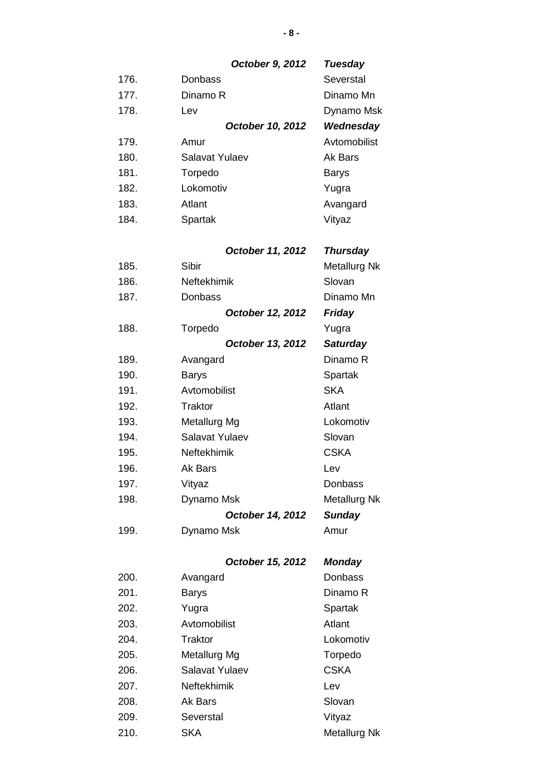|      | October 9, 2012  | <b>Tuesday</b>  |
|------|------------------|-----------------|
| 176. | Donbass          | Severstal       |
| 177. | Dinamo R         | Dinamo Mn       |
| 178. | Lev              | Dynamo Msk      |
|      | October 10, 2012 | Wednesday       |
| 179. | Amur             | Avtomobilist    |
| 180. | Salavat Yulaev   | Ak Bars         |
| 181. | Torpedo          | Barys           |
| 182. | Lokomotiv        | Yugra           |
| 183. | Atlant           | Avangard        |
| 184. | Spartak          | Vityaz          |
|      | October 11, 2012 | <b>Thursday</b> |
| 185. | Sibir            | Metallurg Nk    |
|      |                  |                 |

| 186. | Neftekhimik      | Slovan          |
|------|------------------|-----------------|
| 187. | Donbass          | Dinamo Mn       |
|      | October 12, 2012 | <b>Friday</b>   |
| 188. | Torpedo          | Yugra           |
|      | October 13, 2012 | <b>Saturday</b> |
| 189. | Avangard         | Dinamo R        |
| 190. | <b>Barys</b>     | Spartak         |
| 191. | Avtomobilist     | <b>SKA</b>      |
| 192. | Traktor          | Atlant          |
| 193. | Metallurg Mg     | Lokomotiv       |
| 194. | Salavat Yulaev   | Slovan          |
| 195. | Neftekhimik      | <b>CSKA</b>     |
| 196. | Ak Bars          | Lev             |
| 197. | Vityaz           | Donbass         |
| 198. | Dynamo Msk       | Metallurg Nk    |
|      | October 14, 2012 | <b>Sunday</b>   |
| 199. | Dynamo Msk       | Amur            |

## *October 15, 2012 Monday*

| 200. | Avangard           | Donbass             |
|------|--------------------|---------------------|
| 201. | <b>Barys</b>       | Dinamo R            |
| 202. | Yugra              | Spartak             |
| 203. | Avtomobilist       | Atlant              |
| 204. | Traktor            | Lokomotiv           |
| 205. | Metallurg Mg       | Torpedo             |
| 206. | Salavat Yulaev     | <b>CSKA</b>         |
| 207. | <b>Neftekhimik</b> | Lev                 |
| 208. | Ak Bars            | Slovan              |
| 209. | Severstal          | Vityaz              |
| 210. | <b>SKA</b>         | <b>Metallurg Nk</b> |

**- 8 -**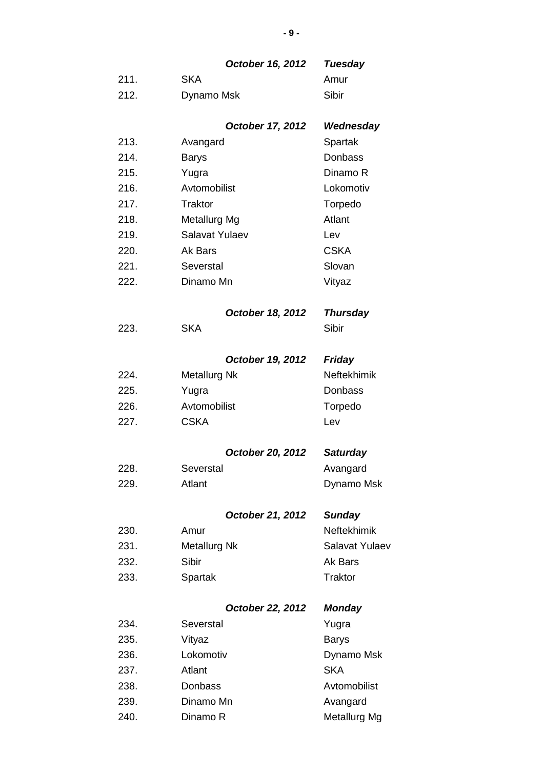## *October 16, 2012 Tuesday*

| 211. | <b>SKA</b> | Amur  |
|------|------------|-------|
| 212. | Dynamo Msk | Sibir |

## *October 17, 2012 Wednesday*

| 213. | Avangard       | Spartak     |
|------|----------------|-------------|
| 214. | <b>Barys</b>   | Donbass     |
| 215. | Yugra          | Dinamo R    |
| 216. | Avtomobilist   | Lokomotiv   |
| 217. | Traktor        | Torpedo     |
| 218. | Metallurg Mg   | Atlant      |
| 219. | Salavat Yulaev | Lev         |
| 220. | Ak Bars        | <b>CSKA</b> |
| 221. | Severstal      | Slovan      |
| 222. | Dinamo Mn      | Vityaz      |

## *October 18, 2012 Thursday*

223. SKA Sibir

## *October 19, 2012 Friday*

| 224.  | Metallurg Nk | Neftekhimik |
|-------|--------------|-------------|
| 225.  | Yugra        | Donbass     |
| 226.  | Avtomobilist | Torpedo     |
| -227. | <b>CSKA</b>  | Lev         |

#### *October 20, 2012 Saturday*

| 228. | Severstal | Avangard   |
|------|-----------|------------|
| 229. | Atlant    | Dynamo Msk |

#### *October 21, 2012 Sunday*

| 230. | Amur         | <b>Neftekhimik</b> |
|------|--------------|--------------------|
| 231. | Metallurg Nk | Salavat Yulaev     |
| 232. | Sibir        | Ak Bars            |
| 233. | Spartak      | Traktor            |

## *October 22, 2012 Monday*

| 234. | Severstal | Yugra        |
|------|-----------|--------------|
| 235. | Vityaz    | <b>Barys</b> |
| 236. | Lokomotiv | Dynamo Msk   |
| 237. | Atlant    | <b>SKA</b>   |
| 238. | Donbass   | Avtomobilist |
| 239. | Dinamo Mn | Avangard     |
| 240. | Dinamo R  | Metallurg Mg |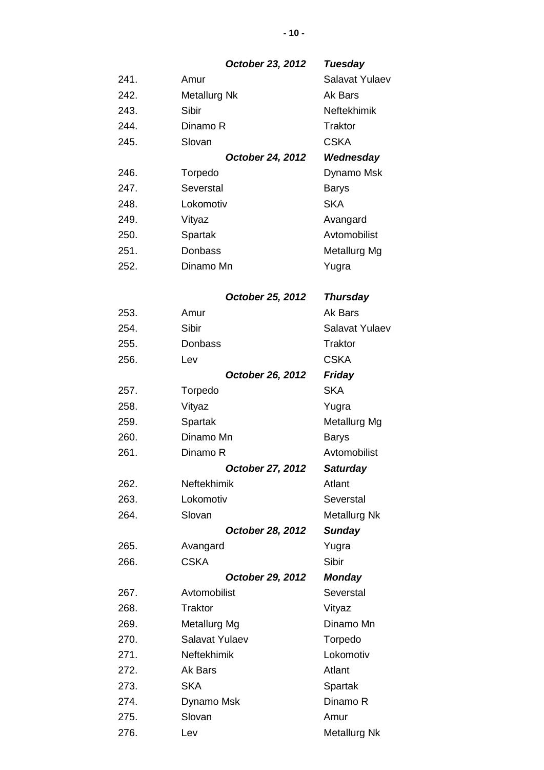*October 23, 2012 Tuesday*

| 241. | Amur             | Salavat Yulaev |
|------|------------------|----------------|
| 242. | Metallurg Nk     | Ak Bars        |
| 243. | Sibir            | Neftekhimik    |
| 244. | Dinamo R         | Traktor        |
| 245. | Slovan           | <b>CSKA</b>    |
|      | October 24, 2012 | Wednesday      |
| 246. | Torpedo          | Dynamo Msk     |
| 247. | Severstal        | <b>Barys</b>   |
| 248. | Lokomotiv        | <b>SKA</b>     |
| 249. | Vityaz           | Avangard       |
| 250. | Spartak          | Avtomobilist   |
| 251. | Donbass          | Metallurg Mg   |
| 252. | Dinamo Mn        | Yugra          |

## *October 25, 2012 Thursday* 253. Amur Amur Ak Bars

| ∠∪∙  |                  |                     |
|------|------------------|---------------------|
| 254. | <b>Sibir</b>     | Salavat Yulaev      |
| 255. | Donbass          | <b>Traktor</b>      |
| 256. | Lev              | <b>CSKA</b>         |
|      | October 26, 2012 | Friday              |
| 257. | Torpedo          | <b>SKA</b>          |
| 258. | Vityaz           | Yugra               |
| 259. | Spartak          | Metallurg Mg        |
| 260. | Dinamo Mn        | <b>Barys</b>        |
| 261. | Dinamo R         | Avtomobilist        |
|      | October 27, 2012 | <b>Saturday</b>     |
| 262. | Neftekhimik      | Atlant              |
| 263. | Lokomotiv        | Severstal           |
| 264. | Slovan           | <b>Metallurg Nk</b> |
|      | October 28, 2012 | <b>Sunday</b>       |
| 265. | Avangard         | Yugra               |
| 266. | <b>CSKA</b>      | Sibir               |
|      | October 29, 2012 | <b>Monday</b>       |
| 267. | Avtomobilist     | Severstal           |
| 268. | <b>Traktor</b>   | Vityaz              |
| 269. | Metallurg Mg     | Dinamo Mn           |
| 270. | Salavat Yulaev   | Torpedo             |
| 271. | Neftekhimik      | Lokomotiv           |
| 272. | Ak Bars          | Atlant              |
| 273. | <b>SKA</b>       | Spartak             |
| 274. | Dynamo Msk       | Dinamo R            |
| 275. | Slovan           | Amur                |
| 276. | Lev              | <b>Metallurg Nk</b> |

**- 10 -**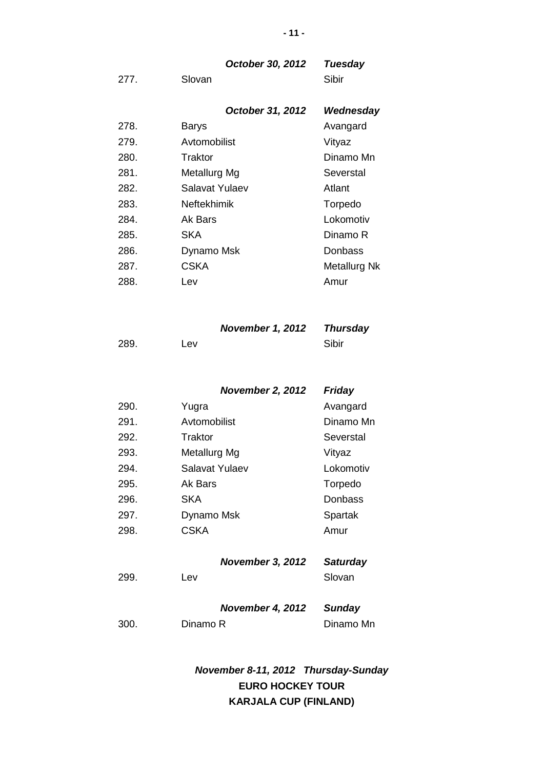|      | October 30, 2012   | Tuesday      |
|------|--------------------|--------------|
| 277. | Slovan             | Sibir        |
|      |                    |              |
|      | October 31, 2012   | Wednesday    |
| 278. | Barys              | Avangard     |
| 279. | Avtomobilist       | Vityaz       |
| 280. | Traktor            | Dinamo Mn    |
| 281. | Metallurg Mg       | Severstal    |
| 282. | Salavat Yulaev     | Atlant       |
| 283. | <b>Neftekhimik</b> | Torpedo      |
| 284. | Ak Bars            | Lokomotiv    |
| 285. | <b>SKA</b>         | Dinamo R     |
| 286. | Dynamo Msk         | Donbass      |
| 287. | CSKA               | Metallurg Nk |
| 288. | Lev                | Amur         |

## *November 1, 2012 Thursday*

| 289. | Lev | Sibir |
|------|-----|-------|
|      |     |       |

| <b>November 2, 2012</b> | Friday |
|-------------------------|--------|
|-------------------------|--------|

| 290. | Yugra          | Avangard  |
|------|----------------|-----------|
| 291. | Avtomobilist   | Dinamo Mn |
| 292. | Traktor        | Severstal |
| 293. | Metallurg Mg   | Vityaz    |
| 294. | Salavat Yulaev | Lokomotiv |
| 295. | Ak Bars        | Torpedo   |
| 296. | <b>SKA</b>     | Donbass   |
| 297. | Dynamo Msk     | Spartak   |
| 298. | <b>CSKA</b>    | Amur      |
|      |                |           |

## *November 3, 2012 Saturday*

| 299. | Lev                     | Slovan    |
|------|-------------------------|-----------|
|      | November 4, 2012 Sunday |           |
| 300. | Dinamo R                | Dinamo Mn |

*November 8-11, 2012 Thursday-Sunday* **EURO HOCKEY TOUR KARJALA CUP (FINLAND)**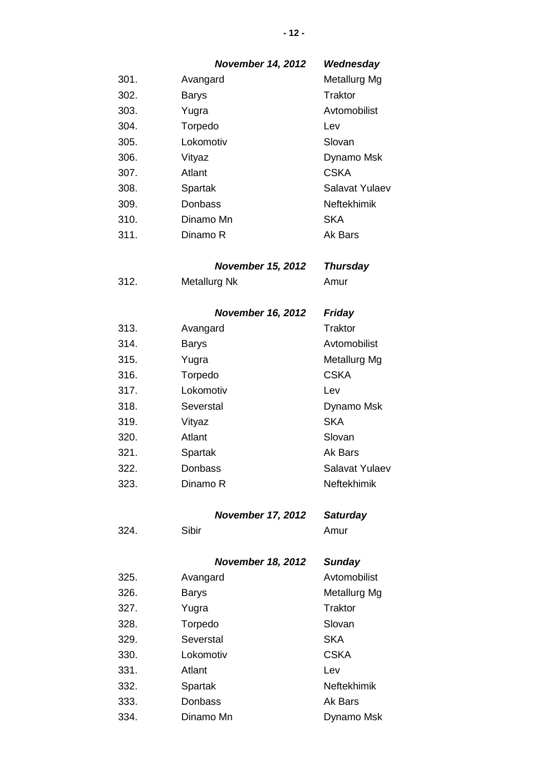|      | <b>November 14, 2012</b> | Wednesday          |
|------|--------------------------|--------------------|
| 301. | Avangard                 | Metallurg Mg       |
| 302. | <b>Barys</b>             | Traktor            |
| 303. | Yugra                    | Avtomobilist       |
| 304. | Torpedo                  | Lev                |
| 305. | Lokomotiv                | Slovan             |
| 306. | Vityaz                   | Dynamo Msk         |
| 307. | Atlant                   | <b>CSKA</b>        |
| 308. | Spartak                  | Salavat Yulaev     |
| 309. | Donbass                  | Neftekhimik        |
| 310. | Dinamo Mn                | <b>SKA</b>         |
| 311. | Dinamo R                 | Ak Bars            |
|      | <b>November 15, 2012</b> | <b>Thursday</b>    |
| 312. | <b>Metallurg Nk</b>      | Amur               |
|      | <b>November 16, 2012</b> | <b>Friday</b>      |
| 313. | Avangard                 | <b>Traktor</b>     |
| 314. | Barys                    | Avtomobilist       |
| 315. | Yugra                    | Metallurg Mg       |
| 316. | Torpedo                  | <b>CSKA</b>        |
| 317. | Lokomotiv                | Lev                |
| 318. | Severstal                | Dynamo Msk         |
| 319. | Vityaz                   | <b>SKA</b>         |
| 320. | Atlant                   | Slovan             |
| 321. | Spartak                  | Ak Bars            |
| 322. | Donbass                  | Salavat Yulaev     |
| 323. | Dinamo R                 | <b>Neftekhimik</b> |
|      | <b>November 17, 2012</b> | <b>Saturday</b>    |
| 324. | Sibir                    | Amur               |
|      | <b>November 18, 2012</b> | <b>Sunday</b>      |
| 325. | Avangard                 | Avtomobilist       |
| 326. | <b>Barys</b>             | Metallurg Mg       |
| 327. | Yugra                    | Traktor            |
| 328. | Torpedo                  | Slovan             |
| 329. | Severstal                | <b>SKA</b>         |
| 330. | Lokomotiv                | <b>CSKA</b>        |
| 331. | Atlant                   | Lev                |
| 332. | Spartak                  | Neftekhimik        |
| 333. | Donbass                  | Ak Bars            |
| 334. | Dinamo Mn                | Dynamo Msk         |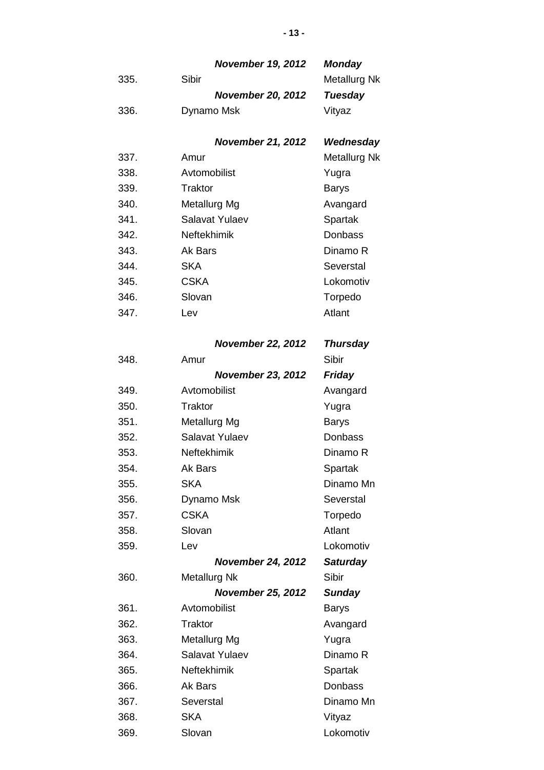|      | <b>November 19, 2012</b> | <b>Monday</b>       |
|------|--------------------------|---------------------|
| 335. | Sibir                    | <b>Metallurg Nk</b> |
|      | <b>November 20, 2012</b> | Tuesday             |
| 336. | Dynamo Msk               | Vityaz              |

## *November 21, 2012 Wednesday*

| 337. | Amur               | <b>Metallurg Nk</b> |
|------|--------------------|---------------------|
| 338. | Avtomobilist       | Yugra               |
| 339. | Traktor            | <b>Barys</b>        |
| 340. | Metallurg Mg       | Avangard            |
| 341. | Salavat Yulaev     | Spartak             |
| 342. | <b>Neftekhimik</b> | Donbass             |
| 343. | Ak Bars            | Dinamo R            |
| 344. | SKA                | Severstal           |
| 345. | <b>CSKA</b>        | Lokomotiv           |
| 346. | Slovan             | Torpedo             |
| 347. | Lev                | Atlant              |
|      |                    |                     |

## *November 22, 2012 Thursday*

| 348. | Amur                     | Sibir           |
|------|--------------------------|-----------------|
|      | <b>November 23, 2012</b> | Friday          |
| 349. | Avtomobilist             | Avangard        |
| 350. | <b>Traktor</b>           | Yugra           |
| 351. | Metallurg Mg             | <b>Barys</b>    |
| 352. | Salavat Yulaev           | Donbass         |
| 353. | Neftekhimik              | Dinamo R        |
| 354. | Ak Bars                  | Spartak         |
| 355. | <b>SKA</b>               | Dinamo Mn       |
| 356. | Dynamo Msk               | Severstal       |
| 357. | <b>CSKA</b>              | Torpedo         |
| 358. | Slovan                   | Atlant          |
| 359. | Lev                      | Lokomotiv       |
|      | <b>November 24, 2012</b> | <b>Saturday</b> |
| 360. | <b>Metallurg Nk</b>      | <b>Sibir</b>    |
|      | <b>November 25, 2012</b> | <b>Sunday</b>   |
| 361. | Avtomobilist             | Barys           |
| 362. | Traktor                  | Avangard        |
| 363. | Metallurg Mg             | Yugra           |
| 364. | Salavat Yulaev           | Dinamo R        |
| 365. | Neftekhimik              | Spartak         |
| 366. | Ak Bars                  | Donbass         |
| 367. | Severstal                | Dinamo Mn       |
| 368. | <b>SKA</b>               | Vityaz          |
| 369. | Slovan                   | Lokomotiv       |

#### **- 13 -**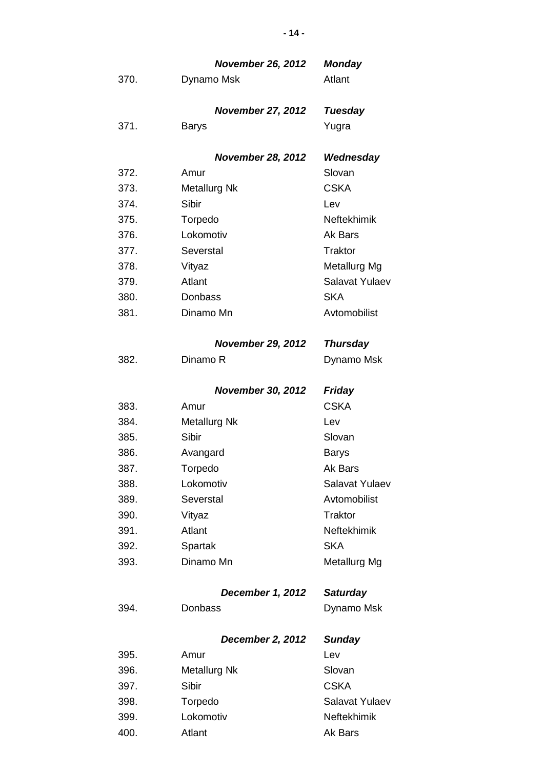|      | <b>November 26, 2012</b> | <b>Monday</b>        |
|------|--------------------------|----------------------|
| 370. | Dynamo Msk               | Atlant               |
|      |                          |                      |
|      | <b>November 27, 2012</b> | <b>Tuesday</b>       |
| 371. | <b>Barys</b>             | Yugra                |
|      |                          |                      |
|      | <b>November 28, 2012</b> | Wednesday            |
| 372. | Amur                     | Slovan               |
| 373. | <b>Metallurg Nk</b>      | <b>CSKA</b>          |
| 374. | Sibir                    | Lev                  |
| 375. | Torpedo                  | <b>Neftekhimik</b>   |
| 376. | Lokomotiv                | Ak Bars              |
| 377. | Severstal                | <b>Traktor</b>       |
| 378. | Vityaz                   | Metallurg Mg         |
| 379. | Atlant                   | Salavat Yulaev       |
| 380. | Donbass                  | <b>SKA</b>           |
| 381. | Dinamo Mn                | Avtomobilist         |
|      |                          |                      |
|      | <b>November 29, 2012</b> | <b>Thursday</b>      |
| 382. | Dinamo R                 | Dynamo Msk           |
|      |                          |                      |
|      | <b>November 30, 2012</b> | <b>Friday</b>        |
| 383. | Amur                     | <b>CSKA</b>          |
| 384. | <b>Metallurg Nk</b>      | Lev                  |
| 385. | Sibir                    | Slovan               |
| 386. | Avangard                 | <b>Barys</b>         |
| 387. | Torpedo                  | Ak Bars              |
| 388. | Lokomotiv                | Salavat Yulaev       |
| 389. | Severstal                | Avtomobilist         |
| 390. | Vityaz                   | <b>Traktor</b>       |
| 391. | Atlant                   | <b>Neftekhimik</b>   |
| 392. | Spartak                  | <b>SKA</b>           |
| 393. | Dinamo Mn                | Metallurg Mg         |
|      |                          |                      |
|      | December 1, 2012         | <b>Saturday</b>      |
| 394. | Donbass                  | Dynamo Msk           |
|      |                          |                      |
|      | <b>December 2, 2012</b>  | <b>Sunday</b><br>Lev |
| 395. | Amur                     | Slovan               |
| 396. | <b>Metallurg Nk</b>      | <b>CSKA</b>          |
| 397. | Sibir                    |                      |
| 398. | Torpedo                  | Salavat Yulaev       |
| 399. | Lokomotiv                | Neftekhimik          |
| 400. | Atlant                   | Ak Bars              |

**- 14 -**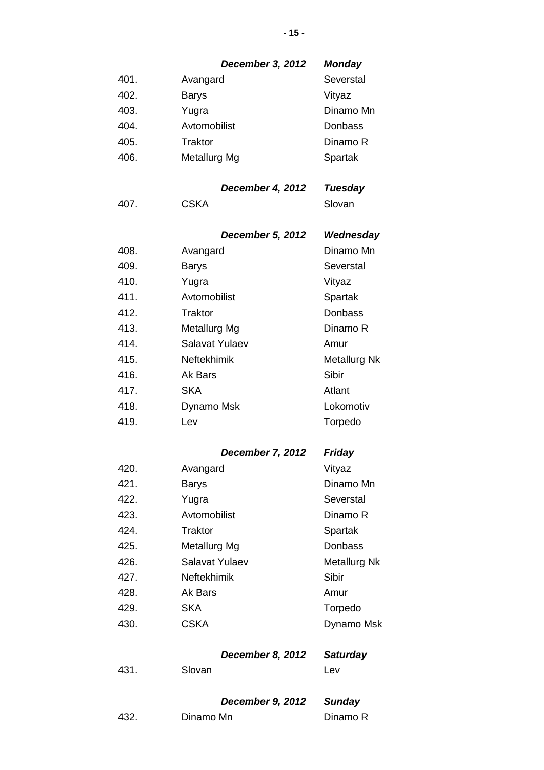## *December 3, 2012 Monday*

| 401. | Avangard     | Severstal |
|------|--------------|-----------|
| 402. | <b>Barys</b> | Vityaz    |
| 403. | Yugra        | Dinamo Mn |
| 404. | Avtomobilist | Donbass   |
| 405. | Traktor      | Dinamo R  |
| 406. | Metallurg Mg | Spartak   |

## *December 4, 2012 Tuesday*

407. CSKA Slovan

## *December 5, 2012 Wednesday*

| 408. | Avangard           | Dinamo Mn    |
|------|--------------------|--------------|
| 409. | <b>Barys</b>       | Severstal    |
| 410. | Yugra              | Vityaz       |
| 411. | Avtomobilist       | Spartak      |
| 412. | Traktor            | Donbass      |
| 413. | Metallurg Mg       | Dinamo R     |
| 414. | Salavat Yulaev     | Amur         |
| 415. | <b>Neftekhimik</b> | Metallurg Nk |
| 416. | Ak Bars            | Sibir        |
| 417. | <b>SKA</b>         | Atlant       |
| 418. | Dynamo Msk         | Lokomotiv    |
| 419. | Lev                | Torpedo      |

## *December 7, 2012 Friday*

| 420. | Avangard           | Vityaz       |
|------|--------------------|--------------|
| 421. | <b>Barys</b>       | Dinamo Mn    |
| 422. | Yugra              | Severstal    |
| 423. | Avtomobilist       | Dinamo R     |
| 424. | Traktor            | Spartak      |
| 425. | Metallurg Mg       | Donbass      |
| 426. | Salavat Yulaev     | Metallurg Nk |
| 427. | <b>Neftekhimik</b> | Sibir        |
| 428. | Ak Bars            | Amur         |
| 429. | <b>SKA</b>         | Torpedo      |
| 430. | <b>CSKA</b>        | Dynamo Msk   |

|      |        | <b>December 8, 2012</b> | <b>Saturday</b> |
|------|--------|-------------------------|-----------------|
| 431. | Slovan |                         | Lev             |
|      |        |                         |                 |

|      | December 9, 2012 | Sunday   |
|------|------------------|----------|
| 432. | Dinamo Mn        | Dinamo R |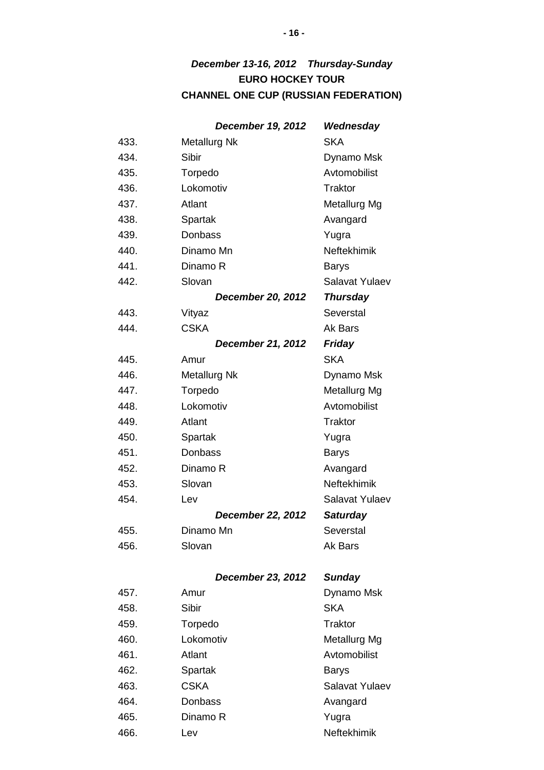## *December 13-16, 2012 Thursday-Sunday* **EURO HOCKEY TOUR CHANNEL ONE CUP (RUSSIAN FEDERATION)**

|      | <b>December 19, 2012</b> | Wednesday       |
|------|--------------------------|-----------------|
| 433. | <b>Metallurg Nk</b>      | <b>SKA</b>      |
| 434. | Sibir                    | Dynamo Msk      |
| 435. | Torpedo                  | Avtomobilist    |
| 436. | Lokomotiv                | Traktor         |
| 437. | Atlant                   | Metallurg Mg    |
| 438. | Spartak                  | Avangard        |
| 439. | Donbass                  | Yugra           |
| 440. | Dinamo Mn                | Neftekhimik     |
| 441. | Dinamo R                 | <b>Barys</b>    |
| 442. | Slovan                   | Salavat Yulaev  |
|      | <b>December 20, 2012</b> | <b>Thursday</b> |
| 443. | Vityaz                   | Severstal       |
| 444. | <b>CSKA</b>              | Ak Bars         |
|      | <b>December 21, 2012</b> | <b>Friday</b>   |
| 445. | Amur                     | <b>SKA</b>      |
| 446. | <b>Metallurg Nk</b>      | Dynamo Msk      |
| 447. | Torpedo                  | Metallurg Mg    |
| 448. | Lokomotiv                | Avtomobilist    |
| 449. | Atlant                   | <b>Traktor</b>  |
| 450. | Spartak                  | Yugra           |
| 451. | Donbass                  | <b>Barys</b>    |
| 452. | Dinamo R                 | Avangard        |
| 453. | Slovan                   | Neftekhimik     |
| 454. | Lev                      | Salavat Yulaev  |
|      | <b>December 22, 2012</b> | <b>Saturday</b> |
| 455. | Dinamo Mn                | Severstal       |
| 456. | Slovan                   | Ak Bars         |
|      |                          |                 |
|      | <b>December 23, 2012</b> | <b>Sunday</b>   |
| 457. | Amur                     | Dynamo Msk      |
| 458. | Sibir                    | <b>SKA</b>      |
| 459. | Torpedo                  | <b>Traktor</b>  |
|      |                          |                 |

466. Lev Lev Neftekhimik

460. Lokomotiv Metallurg Mg 461. Atlant Avtomobilist 462. Spartak Barys 463. CSKA Salavat Yulaev 464. Donbass Avangard 465. Dinamo R Yugra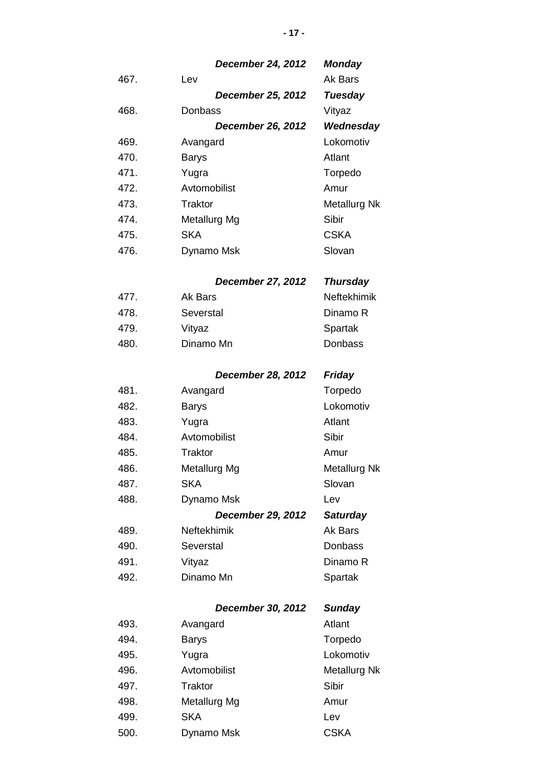|      | <b>December 24, 2012</b> | <b>Monday</b>       |
|------|--------------------------|---------------------|
| 467. | Lev                      | Ak Bars             |
|      | <b>December 25, 2012</b> | <b>Tuesday</b>      |
| 468. | Donbass                  | Vityaz              |
|      | <b>December 26, 2012</b> | Wednesday           |
| 469. | Avangard                 | Lokomotiv           |
| 470. | <b>Barys</b>             | Atlant              |
| 471. | Yugra                    | Torpedo             |
| 472. | Avtomobilist             | Amur                |
| 473. | Traktor                  | <b>Metallurg Nk</b> |
| 474. | Metallurg Mg             | Sibir               |
| 475. | <b>SKA</b>               | <b>CSKA</b>         |
| 476. | Dynamo Msk               | Slovan              |
|      | <b>December 27, 2012</b> | <b>Thursday</b>     |
| 477. | Ak Bars                  | <b>Neftekhimik</b>  |
| 478. | Severstal                | Dinamo R            |
| 479. | Vityaz                   | Spartak             |
| 480. | Dinamo Mn                | Donbass             |
|      | <b>December 28, 2012</b> | <b>Friday</b>       |
| 481. | Avangard                 | Torpedo             |
| 482. | <b>Barys</b>             | Lokomotiv           |
| 483. | Yugra                    | Atlant              |
| 484. | Avtomobilist             | Sibir               |
| 485. | <b>Traktor</b>           | Amur                |
| 486. | Metallurg Mg             | <b>Metallurg Nk</b> |
| 487. | <b>SKA</b>               | Slovan              |
| 488. | Dynamo Msk               | Lev                 |
|      | <b>December 29, 2012</b> | <b>Saturday</b>     |
| 489. | Neftekhimik              | Ak Bars             |
| 490. | Severstal                | <b>Donbass</b>      |
| 491. | Vityaz                   | Dinamo R            |
| 492. | Dinamo Mn                | Spartak             |
|      | December 30, 2012        | <b>Sunday</b>       |
| 493. | Avangard                 | Atlant              |
| 494. | <b>Barys</b>             | Torpedo             |
| 495. | Yugra                    | Lokomotiv           |
| 496. | Avtomobilist             | <b>Metallurg Nk</b> |
| 497. | Traktor                  | Sibir               |
| 498. | Metallurg Mg             | Amur                |
| 499. | <b>SKA</b>               | Lev                 |

500. Dynamo Msk CSKA

**- 17 -**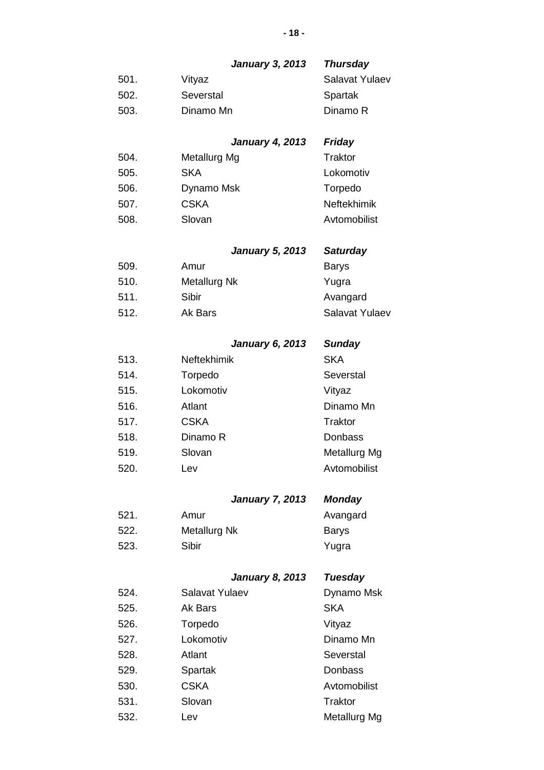## *January 3, 2013 Thursday*

| 501. | Vityaz    | Salavat Yulaev |
|------|-----------|----------------|
| 502. | Severstal | Spartak        |
| 503. | Dinamo Mn | Dinamo R       |

### *January 4, 2013 Friday*

| Metallurg Mg | <b>Traktor</b>     |
|--------------|--------------------|
| <b>SKA</b>   | Lokomotiv          |
| Dynamo Msk   | Torpedo            |
| <b>CSKA</b>  | <b>Neftekhimik</b> |
| Slovan       | Avtomobilist       |
|              |                    |

## *January 5, 2013 Saturday*

| 509. | Amur         | <b>Barys</b>   |
|------|--------------|----------------|
| 510. | Metallurg Nk | Yugra          |
| 511. | Sibir        | Avangard       |
| 512. | Ak Bars      | Salavat Yulaev |

## *January 6, 2013 Sunday*

| 513. | <b>Neftekhimik</b> | <b>SKA</b>   |
|------|--------------------|--------------|
| 514. | Torpedo            | Severstal    |
| 515. | Lokomotiv          | Vityaz       |
| 516. | Atlant             | Dinamo Mn    |
| 517. | <b>CSKA</b>        | Traktor      |
| 518. | Dinamo R           | Donbass      |
| 519. | Slovan             | Metallurg Mg |
| 520. | Lev                | Avtomobilist |
|      |                    |              |

## *January 7, 2013 Monday*

| 521. | Amur         | Avangard |
|------|--------------|----------|
| 522. | Metallurg Nk | Barys    |
| 523. | Sibir        | Yugra    |

## *January 8, 2013 Tuesday*

| 524. | Salavat Yulaev | Dynamo Msk     |
|------|----------------|----------------|
| 525. | Ak Bars        | <b>SKA</b>     |
| 526. | Torpedo        | Vityaz         |
| 527. | Lokomotiv      | Dinamo Mn      |
| 528. | Atlant         | Severstal      |
| 529. | Spartak        | Donbass        |
| 530. | <b>CSKA</b>    | Avtomobilist   |
| 531. | Slovan         | <b>Traktor</b> |
| 532. | Lev            | Metallurg Mg   |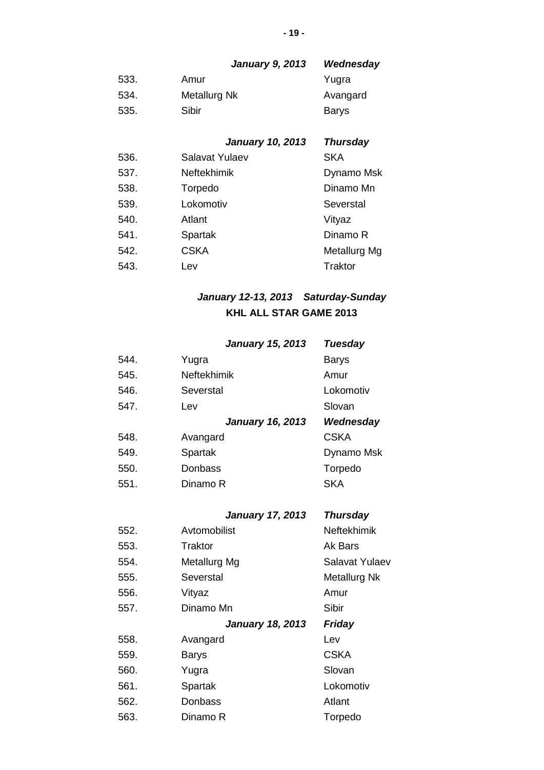## *January 9, 2013 Wednesday*

| 533. | Amur         | Yugra    |
|------|--------------|----------|
| 534. | Metallurg Nk | Avangard |
| 535. | Sibir        | Barys    |

## *January 10, 2013 Thursday*

| 536. | Salavat Yulaev | <b>SKA</b>     |
|------|----------------|----------------|
| 537. | Neftekhimik    | Dynamo Msk     |
| 538. | Torpedo        | Dinamo Mn      |
| 539. | Lokomotiv      | Severstal      |
| 540. | Atlant         | Vityaz         |
| 541. | Spartak        | Dinamo R       |
| 542. | <b>CSKA</b>    | Metallurg Mg   |
| 543. | Lev            | <b>Traktor</b> |

## *January 12-13, 2013 Saturday-Sunday* **KHL ALL STAR GAME 2013**

|      | <b>January 15, 2013</b> | <b>Tuesday</b> |
|------|-------------------------|----------------|
| 544. | Yugra                   | Barys          |
| 545. | Neftekhimik             | Amur           |
| 546. | Severstal               | Lokomotiv      |
| 547. | Lev                     | Slovan         |
|      | <b>January 16, 2013</b> | Wednesday      |
| 548. | Avangard                | <b>CSKA</b>    |
|      |                         |                |
| 549. | Spartak                 | Dynamo Msk     |
| 550. | Donbass                 | Torpedo        |
| 551. | Dinamo R                | SKA            |

### *January 17, 2013 Thursday*

| 552. | Avtomobilist            | <b>Neftekhimik</b> |
|------|-------------------------|--------------------|
| 553. | Traktor                 | Ak Bars            |
| 554. | Metallurg Mg            | Salavat Yulaev     |
| 555. | Severstal               | Metallurg Nk       |
| 556. | Vityaz                  | Amur               |
| 557. | Dinamo Mn               | Sibir              |
|      | <b>January 18, 2013</b> | <b>Friday</b>      |
| 558. | Avangard                | Lev                |
| 559. | <b>Barys</b>            | <b>CSKA</b>        |
| 560. | Yugra                   | Slovan             |
| 561. | Spartak                 | Lokomotiv          |
| 562. | <b>Donbass</b>          | Atlant             |
| 563. | Dinamo R                | Torpedo            |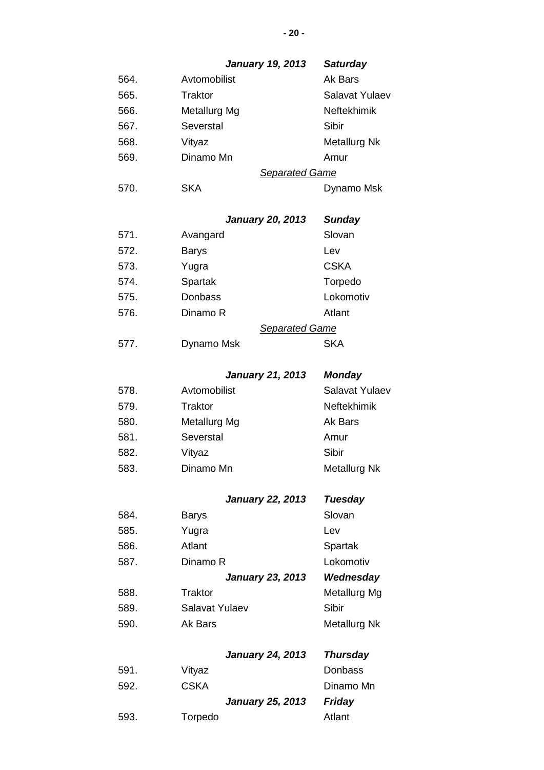|      | <b>January 19, 2013</b> | <b>Saturday</b>     |
|------|-------------------------|---------------------|
| 564. | Avtomobilist            | Ak Bars             |
| 565. | Traktor                 | Salavat Yulaev      |
| 566. | Metallurg Mg            | <b>Neftekhimik</b>  |
| 567. | Severstal               | Sibir               |
| 568. | Vityaz                  | Metallurg Nk        |
| 569. | Dinamo Mn               | Amur                |
|      | <b>Separated Game</b>   |                     |
| 570. | <b>SKA</b>              | Dynamo Msk          |
|      | <b>January 20, 2013</b> | <b>Sunday</b>       |
| 571. | Avangard                | Slovan              |
| 572. | <b>Barys</b>            | Lev                 |
| 573. | Yugra                   | <b>CSKA</b>         |
| 574. | Spartak                 | Torpedo             |
| 575. | Donbass                 | Lokomotiv           |
| 576. | Dinamo R                | Atlant              |
|      | <b>Separated Game</b>   |                     |
| 577. | Dynamo Msk              | <b>SKA</b>          |
|      | <b>January 21, 2013</b> | <b>Monday</b>       |
| 578. | Avtomobilist            | Salavat Yulaev      |
| 579. | Traktor                 | <b>Neftekhimik</b>  |
| 580. | Metallurg Mg            | Ak Bars             |
| 581. | Severstal               | Amur                |
| 582. | Vityaz                  | Sibir               |
| 583. | Dinamo Mn               | <b>Metallurg Nk</b> |
|      | <b>January 22, 2013</b> | <b>Tuesday</b>      |
| 584. | <b>Barys</b>            | Slovan              |
| 585. | Yugra                   | Lev                 |
| 586. | Atlant                  | Spartak             |
| 587. | Dinamo R                | Lokomotiv           |
|      | <b>January 23, 2013</b> | Wednesday           |
| 588. | Traktor                 | Metallurg Mg        |
| 589. | Salavat Yulaev          | Sibir               |
| 590. | Ak Bars                 | Metallurg Nk        |
|      | <b>January 24, 2013</b> | <b>Thursday</b>     |
| 591. | Vityaz                  | Donbass             |
| 592. | <b>CSKA</b>             | Dinamo Mn           |
|      | <b>January 25, 2013</b> | <b>Friday</b>       |

| 593. | Torpedo | Atlant |
|------|---------|--------|
|      |         |        |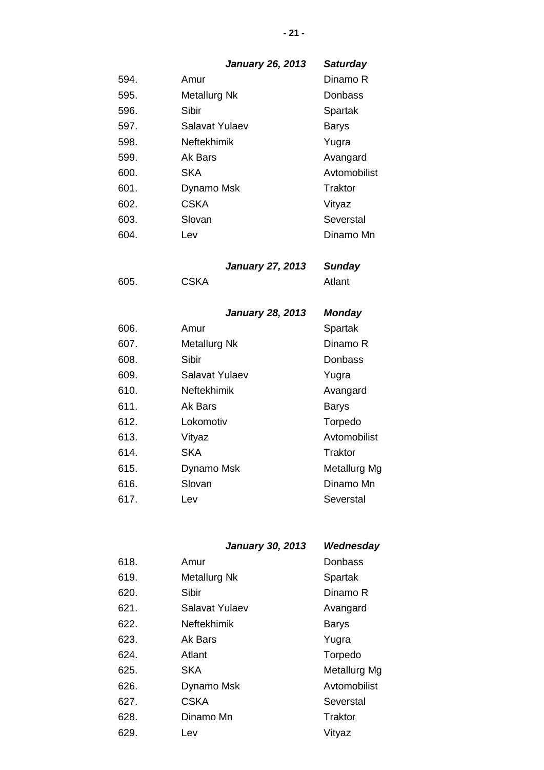## *January 26, 2013 Saturday*

| 594. | Amur               | Dinamo R     |
|------|--------------------|--------------|
| 595. | Metallurg Nk       | Donbass      |
| 596. | Sibir              | Spartak      |
| 597. | Salavat Yulaev     | <b>Barys</b> |
| 598. | <b>Neftekhimik</b> | Yugra        |
| 599. | Ak Bars            | Avangard     |
| 600. | SKA                | Avtomobilist |
| 601. | Dynamo Msk         | Traktor      |
| 602. | CSKA               | Vityaz       |
| 603. | Slovan             | Severstal    |
| 604. | Lev                | Dinamo Mn    |

*January 27, 2013 Sunday*

605. CSKA Atlant

*January 28, 2013 Monday*

| 606. | Amur               | Spartak      |
|------|--------------------|--------------|
| 607. | Metallurg Nk       | Dinamo R     |
| 608. | Sibir              | Donbass      |
| 609. | Salavat Yulaev     | Yugra        |
| 610. | <b>Neftekhimik</b> | Avangard     |
| 611. | Ak Bars            | Barys        |
| 612. | Lokomotiv          | Torpedo      |
| 613. | Vityaz             | Avtomobilist |
| 614. | <b>SKA</b>         | Traktor      |
| 615. | Dynamo Msk         | Metallurg Mg |
| 616. | Slovan             | Dinamo Mn    |
| 617. | Lev                | Severstal    |
|      |                    |              |

## *January 30, 2013 Wednesday*

| 618. | Amur           | Donbass      |
|------|----------------|--------------|
| 619. | Metallurg Nk   | Spartak      |
| 620. | Sibir          | Dinamo R     |
| 621. | Salavat Yulaev | Avangard     |
| 622. | Neftekhimik    | <b>Barys</b> |
| 623. | Ak Bars        | Yugra        |
| 624. | Atlant         | Torpedo      |
| 625. | <b>SKA</b>     | Metallurg Mg |
| 626. | Dynamo Msk     | Avtomobilist |
| 627. | <b>CSKA</b>    | Severstal    |
| 628. | Dinamo Mn      | Traktor      |
| 629. | Lev            | Vityaz       |

#### **- 21 -**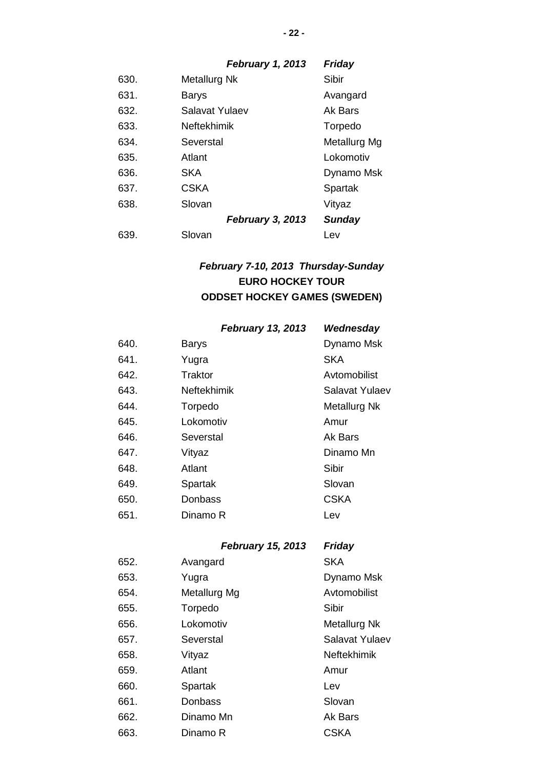## *February 1, 2013 Friday*

| 630. | Metallurg Nk            | Sibir         |
|------|-------------------------|---------------|
| 631. | Barys                   | Avangard      |
| 632. | Salavat Yulaev          | Ak Bars       |
| 633. | <b>Neftekhimik</b>      | Torpedo       |
| 634. | Severstal               | Metallurg Mg  |
| 635. | Atlant                  | Lokomotiv     |
| 636. | <b>SKA</b>              | Dynamo Msk    |
| 637. | <b>CSKA</b>             | Spartak       |
| 638. | Slovan                  | Vityaz        |
|      | <b>February 3, 2013</b> | <b>Sunday</b> |
| 639. | Slovan                  | Lev           |
|      |                         |               |

## *February 7-10, 2013 Thursday-Sunday* **EURO HOCKEY TOUR ODDSET HOCKEY GAMES (SWEDEN)**

## *February 13, 2013 Wednesday*

| 640. | <b>Barys</b>       | Dynamo Msk     |
|------|--------------------|----------------|
| 641. | Yugra              | <b>SKA</b>     |
| 642. | Traktor            | Avtomobilist   |
| 643. | <b>Neftekhimik</b> | Salavat Yulaev |
| 644. | Torpedo            | Metallurg Nk   |
| 645. | Lokomotiv          | Amur           |
| 646. | Severstal          | Ak Bars        |
| 647. | Vityaz             | Dinamo Mn      |
| 648. | Atlant             | Sibir          |
| 649. | Spartak            | Slovan         |
| 650. | Donbass            | <b>CSKA</b>    |
| 651. | Dinamo R           | Lev            |
|      |                    |                |

## *February 15, 2013 Friday*

| 652. | Avangard     | <b>SKA</b>         |
|------|--------------|--------------------|
| 653. | Yugra        | Dynamo Msk         |
| 654. | Metallurg Mg | Avtomobilist       |
| 655. | Torpedo      | Sibir              |
| 656. | Lokomotiv    | Metallurg Nk       |
| 657. | Severstal    | Salavat Yulaev     |
| 658. | Vityaz       | <b>Neftekhimik</b> |
| 659. | Atlant       | Amur               |
| 660. | Spartak      | Lev                |
| 661. | Donbass      | Slovan             |
| 662. | Dinamo Mn    | Ak Bars            |
| 663. | Dinamo R     | CSKA               |
|      |              |                    |